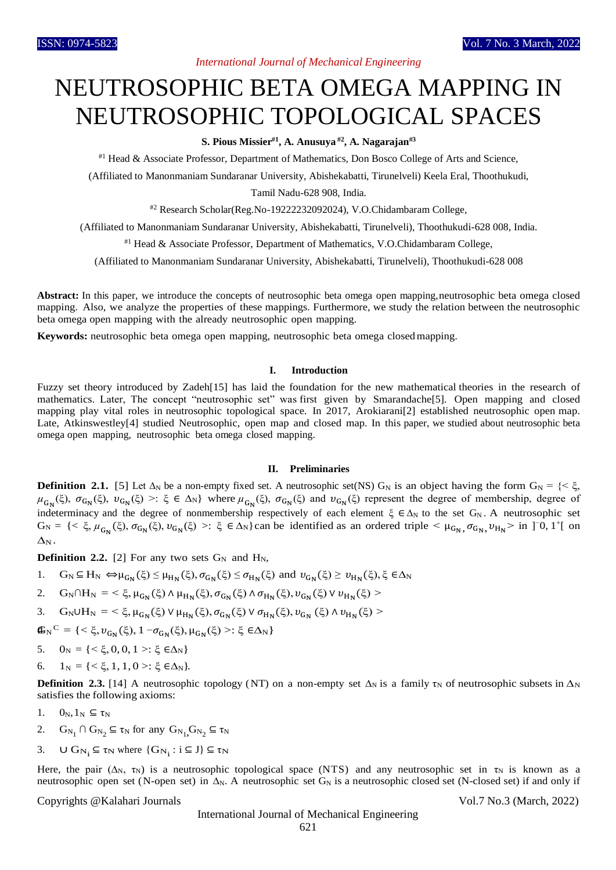## *International Journal of Mechanical Engineering*

# NEUTROSOPHIC BETA OMEGA MAPPING IN NEUTROSOPHIC TOPOLOGICAL SPACES

**S. Pious Missier#1, A. Anusuya #2, A. Nagarajan#3**

#1 Head & Associate Professor, Department of Mathematics, Don Bosco College of Arts and Science,

(Affiliated to Manonmaniam Sundaranar University, Abishekabatti, Tirunelveli) Keela Eral, Thoothukudi,

Tamil Nadu-628 908, India.

#2 Research Scholar(Reg.No-19222232092024), V.O.Chidambaram College,

(Affiliated to Manonmaniam Sundaranar University, Abishekabatti, Tirunelveli), Thoothukudi-628 008, India.

#1 Head & Associate Professor, Department of Mathematics, V.O.Chidambaram College,

(Affiliated to Manonmaniam Sundaranar University, Abishekabatti, Tirunelveli), Thoothukudi-628 008

**Abstract:** In this paper, we introduce the concepts of neutrosophic beta omega open mapping,neutrosophic beta omega closed mapping. Also, we analyze the properties of these mappings. Furthermore, we study the relation between the neutrosophic beta omega open mapping with the already neutrosophic open mapping.

**Keywords:** neutrosophic beta omega open mapping, neutrosophic beta omega closed mapping.

#### **I. Introduction**

Fuzzy set theory introduced by Zadeh[15] has laid the foundation for the new mathematical theories in the research of mathematics. Later, The concept "neutrosophic set" was first given by Smarandache[5]. Open mapping and closed mapping play vital roles in neutrosophic topological space. In 2017, Arokiarani[2] established neutrosophic open map. Late, Atkinswestley[4] studied Neutrosophic, open map and closed map. In this paper, we studied about neutrosophic beta omega open mapping, neutrosophic beta omega closed mapping.

#### **II. Preliminaries**

**Definition** 2.1. [5] Let  $\Delta_N$  be a non-empty fixed set. A neutrosophic set(NS) G<sub>N</sub> is an object having the form G<sub>N</sub> = {<  $\xi$ ,  $\mu_{G_N}(\xi)$ ,  $\sigma_{G_N}(\xi)$ ,  $v_{G_N}(\xi)$  >:  $\xi \in \Delta_N$  where  $\mu_{G_N}(\xi)$ ,  $\sigma_{G_N}(\xi)$  and  $v_{G_N}(\xi)$  represent the degree of membership, degree of indeterminacy and the degree of nonmembership respectively of each element  $\xi \in \Delta_N$  to the set G<sub>N</sub>. A neutrosophic set  $G_N = \{ \langle \xi, \mu_{G_N}(\xi), \sigma_{G_N}(\xi), \nu_{G_N}(\xi) \rangle : \xi \in \Delta_N \}$ can be identified as an ordered triple  $\langle \mu_{G_N}, \sigma_{G_N}, \nu_{H_N} \rangle$  in ]<sup>-0</sup>, 1<sup>+</sup>[ on  $\Delta_N$ .

**Definition 2.2.** [2] For any two sets  $G_N$  and  $H_N$ ,

1.  $G_N \subseteq H_N \Leftrightarrow \mu_{G_N}(\xi) \leq \mu_{H_N}(\xi), \sigma_{G_N}(\xi) \leq \sigma_{H_N}(\xi)$  and  $v_{G_N}(\xi) \geq v_{H_N}(\xi), \xi \in \Delta_N$ 

$$
2. \quad G_N \cap H_N=<\xi, \mu_{G_N}(\xi) \wedge \mu_{H_N}(\xi), \sigma_{G_N}(\xi) \wedge \sigma_{H_N}(\xi), \nu_{G_N}(\xi) \vee \nu_{H_N}(\xi)>
$$

3. G<sub>N</sub>UH<sub>N</sub> = <  $\xi$ ,  $\mu_{G_N}(\xi)$  V  $\mu_{H_N}(\xi)$ ,  $\sigma_{G_N}(\xi)$  V  $\sigma_{H_N}(\xi)$ ,  $v_{G_N}(\xi)$   $\wedge v_{H_N}(\xi)$  >

 $\mathbf{G}_{N}$ <sup>C</sup> = { < ξ,  $v_{G_N}$ (ξ), 1 − σ<sub>GN</sub>(ξ), μ<sub>GN</sub>(ξ) >: ξ ∈Δ<sub>N</sub>}

- 5.  $0_N = \{ <\xi, 0, 0, 1>:\xi \in \Delta_N \}$
- 6.  $1_N = \{ < \xi, 1, 1, 0 > : \xi \in \Delta_N \}.$

**Definition 2.3.** [14] A neutrosophic topology (NT) on a non-empty set  $\Delta_N$  is a family  $\tau_N$  of neutrosophic subsets in  $\Delta_N$ satisfies the following axioms:

- 1.  $0_N, 1_N \subseteq \tau_N$
- 2.  $G_{N_1} \cap G_{N_2} \subseteq \tau_N$  for any  $G_{N_1} G_{N_2} \subseteq \tau_N$
- 3.  $\cup$   $G_{N_i} \subseteq \tau_N$  where  $\{G_{N_i} : i \subseteq J\} \subseteq \tau_N$

Here, the pair ( $\Delta_N$ ,  $\tau_N$ ) is a neutrosophic topological space (NTS) and any neutrosophic set in  $\tau_N$  is known as a neutrosophic open set (N-open set) in  $\Delta_N$ . A neutrosophic set G<sub>N</sub> is a neutrosophic closed set (N-closed set) if and only if

Copyrights @Kalahari Journals Vol.7 No.3 (March, 2022)

International Journal of Mechanical Engineering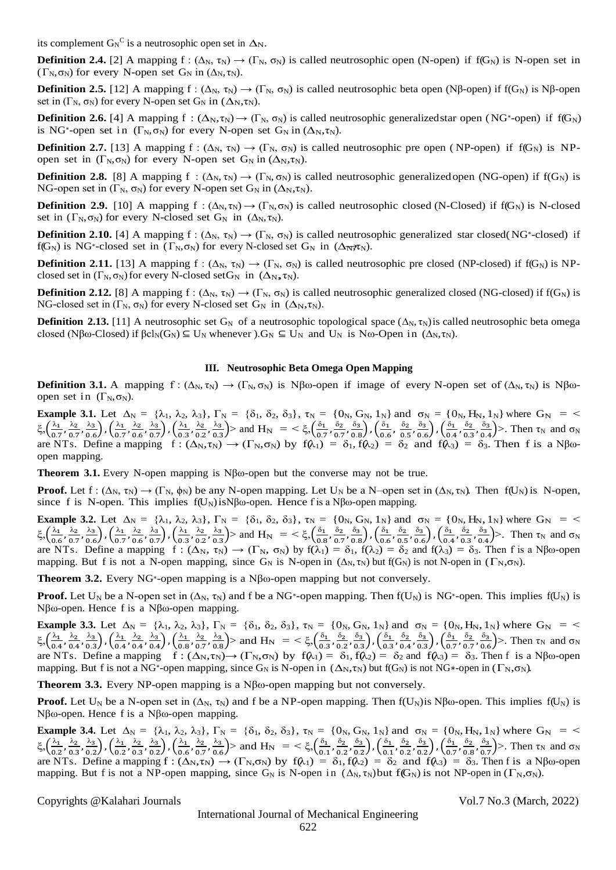its complement  $G_N^C$  is a neutrosophic open set in  $\Delta_N$ .

**Definition 2.4.** [2] A mapping f :  $(\Delta_N, \tau_N) \to (\Gamma_N, \sigma_N)$  is called neutrosophic open (N-open) if f(G<sub>N</sub>) is N-open set in ( $\Gamma_N$ ,  $\sigma_N$ ) for every N-open set  $G_N$  in ( $\Delta_N$ ,  $\tau_N$ ).

**Definition 2.5.** [12] A mapping f :  $(\Delta_N, \tau_N) \to (\Gamma_N, \sigma_N)$  is called neutrosophic beta open (Nβ-open) if f(G<sub>N</sub>) is Nβ-open set in  $(\Gamma_N, \sigma_N)$  for every N-open set  $G_N$  in  $(\Delta_N, \tau_N)$ .

**Definition 2.6.** [4] A mapping  $f : (\Delta_N, \tau_N) \to (\Gamma_N, \sigma_N)$  is called neutrosophic generalized star open (NG<sup>\*</sup>-open) if  $f(G_N)$ is NG<sup>\*</sup>-open set in  $(\Gamma_N, \sigma_N)$  for every N-open set  $G_N$  in  $(\Delta_N, \tau_N)$ .

**Definition 2.7.** [13] A mapping f :  $(\Delta_N, \tau_N) \to (\Gamma_N, \sigma_N)$  is called neutrosophic pre open (NP-open) if  $f(G_N)$  is NPopen set in  $(\Gamma_N, \sigma_N)$  for every N-open set  $G_N$  in  $(\Delta_N, \tau_N)$ .

**Definition 2.8.** [8] A mapping  $f : (\Delta_N, \tau_N) \to (\Gamma_N, \sigma_N)$  is called neutrosophic generalized open (NG-open) if  $f(G_N)$  is NG-open set in  $(\Gamma_N, \sigma_N)$  for every N-open set  $G_N$  in  $(\Delta_N, \tau_N)$ .

**Definition 2.9.** [10] A mapping  $f : (\Delta_N, \tau_N) \to (\Gamma_N, \sigma_N)$  is called neutrosophic closed (N-Closed) if  $f(G_N)$  is N-closed set in  $(\Gamma_N, \sigma_N)$  for every N-closed set  $G_N$  in  $(\Delta_N, \tau_N)$ .

f(G<sub>N</sub>) is NG<sup>\*</sup>-closed set in  $(\Gamma_N, \sigma_N)$  for every N-closed set G<sub>N</sub> in  $(\Delta_N, \pi_N)$ . **Definition 2.10.** [4] A mapping  $f: (\Delta_N, \tau_N) \to (\Gamma_N, \sigma_N)$  is called neutrosophic generalized star closed(NG<sup>\*</sup>-closed) if

**Definition 2.11.** [13] A mapping f :  $(\Delta_N, \tau_N) \to (\Gamma_N, \sigma_N)$  is called neutrosophic pre closed (NP-closed) if f(G<sub>N</sub>) is NPclosed set in  $(\Gamma_N, \sigma_N)$  for every N-closed set  $G_N$  in  $(\Delta_N, \tau_N)$ .

**Definition 2.12.** [8] A mapping f :  $(\Delta_N, \tau_N) \to (\Gamma_N, \sigma_N)$  is called neutrosophic generalized closed (NG-closed) if f(G<sub>N</sub>) is NG-closed set in  $(\Gamma_N, \sigma_N)$  for every N-closed set  $G_N$  in  $(\Delta_N, \tau_N)$ .

**Definition** 2.13. [11] A neutrosophic set G<sub>N</sub> of a neutrosophic topological space ( $\Delta_N$ ,  $\tau_N$ ) is called neutrosophic beta omega closed (Nβω-Closed) if  $\beta$ cl<sub>N</sub>(G<sub>N</sub>)  $\subseteq$  U<sub>N</sub> whenever ).G<sub>N</sub>  $\subseteq$  U<sub>N</sub> and U<sub>N</sub> is Nω-Open in ( $\Delta$ <sub>N</sub>,  $\tau$ <sub>N</sub>).

### **III. Neutrosophic Beta Omega Open Mapping**

**Definition 3.1.** A mapping  $f: (\Delta_N, \tau_N) \to (\Gamma_N, \sigma_N)$  is Nβω-open if image of every N-open set of  $(\Delta_N, \tau_N)$  is Nβωopen set in  $(\Gamma_N, \sigma_N)$ .

**Example 3.1.** Let  $\Delta_N = {\lambda_1, \lambda_2, \lambda_3}$ ,  $\Gamma_N = {\delta_1, \delta_2, \delta_3}$ ,  $\tau_N = {\{0_N, G_N, 1_N\}}$  and  $\sigma_N = {\{0_N, H_N, 1_N\}}$  where  $G_N = \{0_N, H_N, H_N\}$ ξ, $\left(\frac{\lambda_1}{\alpha}\right)$  $\frac{\lambda_1}{0.7}, \frac{\lambda_2}{0.7}$  $\frac{\lambda_2}{0.7}, \frac{\lambda_3}{0.6}$  $\left(\frac{\lambda_3}{0.6}\right)$  ,  $\left(\frac{\lambda_1}{0.5}\right)$  $\frac{\lambda_1}{0.7}, \frac{\lambda_2}{0.6}$  $\frac{\lambda_2}{0.6}$ ,  $\frac{\lambda_3}{0.5}$  $\left(\frac{\lambda_3}{0.7}\right)$  ,  $\left(\frac{\lambda_1}{0.3}\right)$  $\frac{\lambda_1}{0.3}, \frac{\lambda_2}{0.2}$  $\frac{\lambda_2}{0.2}, \frac{\lambda_3}{0.3}$  $\frac{\lambda_3}{0.3}$  > and H<sub>N</sub> = <  $\xi$ ,  $\left(\frac{\delta_1}{0.5}\right)$  $\frac{\delta_1}{0.7}, \frac{\delta_2}{0.7}$  $\frac{\delta_2}{0.7}, \frac{\delta_3}{0.8}$  $\left(\frac{\delta_3}{0.8}\right)$  ,  $\left(\frac{\delta_1}{0.6}\right)$  $\frac{\delta_1}{0.6}$ ,  $\frac{\delta_2}{0.5}$  $\frac{\delta_2}{0.5}$ ,  $\frac{\delta_3}{0.6}$  $\left(\frac{\delta_3}{0.6}\right)$ ,  $\left(\frac{\delta_1}{0.4}\right)$  $\frac{\delta_1}{0.4}, \frac{\delta_2}{0.3}$  $\frac{\delta_2}{0.3}, \frac{\delta_3}{0.4}$  $\left(\frac{\delta_3}{0.4}\right)$ >. Then  $\tau_N$  and  $\sigma_N$ are NTs. Define a mapping  $f : (\Delta_N, \tau_N) \to (\Gamma_N, \sigma_N)$  by  $f(\lambda_1) = \delta_1, f(\lambda_2) = \delta_2$  and  $f(\lambda_3) = \delta_3$ . Then f is a Nβωopen mapping.

**Theorem 3.1.** Every N-open mapping is Nβω-open but the converse may not be true.

**Proof.** Let  $f: (\Delta_N, \tau_N) \to (\Gamma_N, \phi_N)$  be any N-open mapping. Let  $U_N$  be a N–open set in  $(\Delta_N, \tau_N)$ . Then  $f(U_N)$  is N-open, since f is N-open. This implies  $f(U_N)$  is N $\beta\omega$ -open. Hence f is a N $\beta\omega$ -open mapping.

**Example 3.2.** Let  $\Delta_N = {\lambda_1, \lambda_2, \lambda_3}$ ,  $\Gamma_N = {\delta_1, \delta_2, \delta_3}$ ,  $\tau_N = {\{0_N, G_N, 1_N\}}$  and  $\sigma_N = {\{0_N, H_N, 1_N\}}$  where  $G_N = \{0_N, H_N, 1_N\}$ ξ, $\left(\frac{\lambda_1}{\alpha_2}\right)$  $\frac{\lambda_1}{0.6}, \frac{\lambda_2}{0.5}$  $\frac{\lambda_2}{0.7}, \frac{\lambda_3}{0.6}$  $\left(\frac{\lambda_3}{0.6}\right)$  ,  $\left(\frac{\lambda_1}{0.5}\right)$  $\frac{\lambda_1}{0.7}, \frac{\lambda_2}{0.6}$  $\frac{\lambda_2}{0.6}$ ,  $\frac{\lambda_3}{0.5}$  $\left(\frac{\lambda_3}{0.7}\right)$  ,  $\left(\frac{\lambda_1}{0.3}\right)$  $\frac{\lambda_1}{0.3}, \frac{\lambda_2}{0.2}$  $\frac{\lambda_2}{0.2}$ ,  $\frac{\lambda_3}{0.3}$  $\frac{\lambda_3}{0.3}$  > and H<sub>N</sub> = <  $\xi$ ,  $\left(\frac{\delta_1}{0.8}\right)$  $\frac{\delta_1}{0.8}, \frac{\delta_2}{0.5}$  $\frac{\delta_2}{0.7}, \frac{\delta_3}{0.8}$  $\left(\frac{\delta_3}{0.8}\right)$  ,  $\left(\frac{\delta_1}{0.6}\right)$  $\frac{\delta_1}{0.6}, \frac{\delta_2}{0.5}$  $\frac{\delta_2}{0.5}$ ,  $\frac{\delta_3}{0.6}$  $\left(\frac{\delta_3}{0.6}\right)$ ,  $\left(\frac{\delta_1}{0.4}\right)$  $\frac{\delta_1}{0.4}, \frac{\delta_2}{0.3}$  $\frac{\delta_2}{0.3}, \frac{\delta_3}{0.4}$  $\left(\frac{\delta_3}{0.4}\right)$ >. Then  $\tau_N$  and  $\sigma_N$ are NTs. Define a mapping  $f : (\Delta_N, \tau_N) \to (\Gamma_N, \sigma_N)$  by  $f(\lambda_1) = \delta_1$ ,  $f(\lambda_2) = \delta_2$  and  $f(\lambda_3) = \delta_3$ . Then f is a Nβω-open mapping. But f is not a N-open mapping, since G<sub>N</sub> is N-open in  $(\Delta_N, \tau_N)$  but f(G<sub>N</sub>) is not N-open in  $(\Gamma_N, \sigma_N)$ .

**Theorem 3.2.** Every NG<sup>∗</sup> -open mapping is a Nβω-open mapping but not conversely.

**Proof.** Let U<sub>N</sub> be a N-open set in  $(\Delta_N, \tau_N)$  and f be a NG<sup>\*</sup>-open mapping. Then  $f(U_N)$  is NG<sup>\*</sup>-open. This implies  $f(U_N)$  is Nβω-open. Hence f is a Nβω-open mapping.

**Example 3.3.** Let  $\Delta_N = {\lambda_1, \lambda_2, \lambda_3}, \Gamma_N = {\delta_1, \delta_2, \delta_3}, \tau_N = {0_N, G_N, 1_N}$  and  $\sigma_N = {0_N, H_N, 1_N}$  where  $G_N =$ ξ, $\left(\frac{\lambda_1}{\alpha}\right)$  $\frac{\lambda_1}{0.4}, \frac{\lambda_2}{0.4}$  $\frac{\lambda_2}{0.4}, \frac{\lambda_3}{0.3}$  $\left(\frac{\lambda_3}{0.3}\right)$  ,  $\left(\frac{\lambda_1}{0.4}\right)$  $\frac{\lambda_1}{0.4}, \frac{\lambda_2}{0.4}$  $\frac{\lambda_2}{0.4}, \frac{\lambda_3}{0.4}$  $\left(\frac{\lambda_3}{0.4}\right)$ ,  $\left(\frac{\lambda_1}{0.8}\right)$  $\frac{\lambda_1}{0.8}, \frac{\lambda_2}{0.5}$  $\frac{\lambda_2}{0.7}, \frac{\lambda_3}{0.8}$  $\frac{\lambda_3}{0.8}$  > and H<sub>N</sub> = <  $\xi$ ,  $\left(\frac{\delta_1}{0.5}\right)$  $\frac{\delta_1}{0.3}, \frac{\delta_2}{0.2}$  $\frac{\delta_2}{0.2}, \frac{\delta_3}{0.3}$  $\left(\frac{\delta_3}{0.3}\right)$ ,  $\left(\frac{\delta_1}{0.3}\right)$  $\frac{\delta_1}{0.3}, \frac{\delta_2}{0.4}$  $\frac{\delta_2}{0.4}, \frac{\delta_3}{0.3}$  $\left(\frac{\delta_3}{0.3}\right)$ ,  $\left(\frac{\delta_1}{0.5}\right)$  $\frac{\delta_1}{0.7}, \frac{\delta_2}{0.7}$  $\frac{\delta_2}{0.7}, \frac{\delta_3}{0.6}$  $\left(\frac{\delta_3}{0.6}\right)$ >. Then  $\tau_N$  and  $\sigma_N$ are NTs. Define a mapping  $f: (\Delta_N, \tau_N) \to (\Gamma_N, \sigma_N)$  by  $f(\lambda_1) = \delta_1, f(\lambda_2) = \delta_2$  and  $f(\lambda_3) = \delta_3$ . Then f is a N $\beta$ ω-open mapping. But f is not a NG<sup>\*</sup>-open mapping, since G<sub>N</sub> is N-open in ( $\Delta_N$ , $\tau_N$ ) but f(G<sub>N</sub>) is not NG\*-open in ( $\Gamma_N$ , $\sigma_N$ ).

**Theorem 3.3.** Every NP-open mapping is a Nβω-open mapping but not conversely.

**Proof.** Let U<sub>N</sub> be a N-open set in  $(\Delta_N, \tau_N)$  and f be a NP-open mapping. Then  $f(U_N)$  is N $\beta\omega$ -open. This implies  $f(U_N)$  is Nβω-open. Hence f is a Nβω-open mapping.

**Example 3.4.** Let  $\Delta_N = {\lambda_1, \lambda_2, \lambda_3}$ ,  $\Gamma_N = {\delta_1, \delta_2, \delta_3}$ ,  $\tau_N = {\{0_N, G_N, 1_N\}}$  and  $\sigma_N = {\{0_N, H_N, 1_N\}}$  where  $G_N =$ ξ, $\left(\frac{\lambda_1}{\alpha}\right)$  $\frac{\lambda_1}{0.2}, \frac{\lambda_2}{0.3}$  $\frac{\lambda_2}{0.3}, \frac{\lambda_3}{0.2}$  $\left(\frac{\lambda_3}{0.2}\right)$  ,  $\left(\frac{\lambda_1}{0.2}\right)$  $\frac{\lambda_1}{0.2}, \frac{\lambda_2}{0.3}$  $\frac{\lambda_2}{0.3}, \frac{\lambda_3}{0.2}$  $\left(\frac{\lambda_3}{0.2}\right)$  ,  $\left(\frac{\lambda_1}{0.6}\right)$  $\frac{\lambda_1}{0.6}, \frac{\lambda_2}{0.5}$  $\frac{\lambda_2}{0.7}, \frac{\lambda_3}{0.6}$  $\left(\frac{\lambda_3}{0.6}\right)$  and  $H_N = \frac{\xi_3}{0.1}$  $\frac{\delta_1}{0.1}, \frac{\delta_2}{0.2}$  $\frac{\delta_2}{0.2}, \frac{\delta_3}{0.2}$  $\left(\frac{\delta_3}{0.2}\right)$ ,  $\left(\frac{\delta_1}{0.1}\right)$  $\frac{\delta_1}{0.1}, \frac{\delta_2}{0.2}$  $\frac{\delta_2}{0.2}, \frac{\delta_3}{0.2}$  $\left(\frac{\delta_3}{0.2}\right)$ ,  $\left(\frac{\delta_1}{0.5}\right)$  $\frac{\delta_1}{0.7}, \frac{\delta_2}{0.8}$  $\frac{\delta_2}{0.8}, \frac{\delta_3}{0.5}$  $\left(\frac{\sigma_3}{0.7}\right)$ >. Then  $\tau_N$  and  $\sigma_N$ are NTs. Define a mapping  $f: (\Delta_N, \tau_N) \to (\Gamma_N, \sigma_N)$  by  $f(\lambda_1) = \delta_1, f(\lambda_2) = \delta_2$  and  $f(\lambda_3) = \delta_3$ . Then f is a Nβω-open mapping. But f is not a NP-open mapping, since G<sub>N</sub> is N-open in  $(\Delta_N, \tau_N)$  but f(G<sub>N</sub>) is not NP-open in ( $\Gamma_N, \sigma_N$ ).

Copyrights @Kalahari Journals Vol.7 No.3 (March, 2022)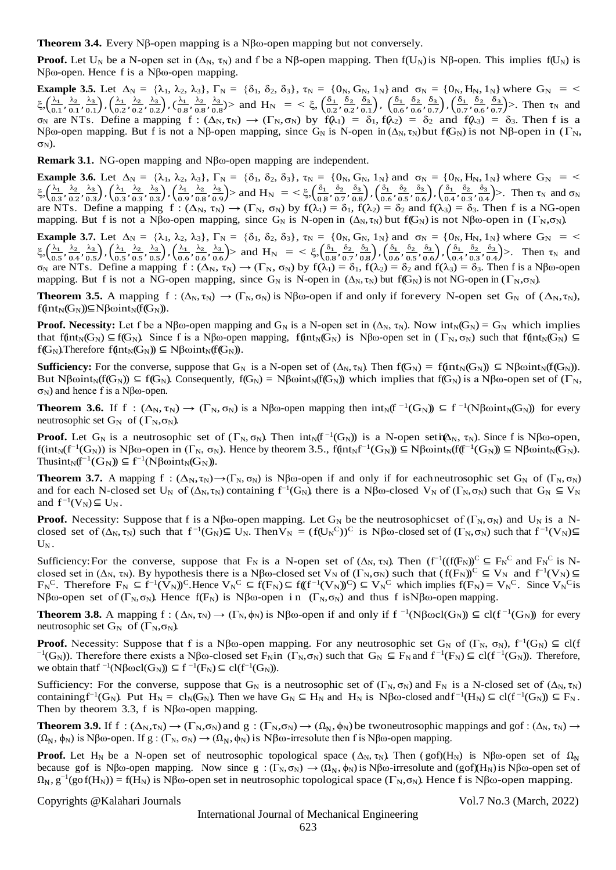**Theorem 3.4.** Every Nβ-open mapping is a Nβω-open mapping but not conversely.

**Proof.** Let U<sub>N</sub> be a N-open set in  $(\Delta_N, \tau_N)$  and f be a Nβ-open mapping. Then f(U<sub>N</sub>) is Nβ-open. This implies f(U<sub>N</sub>) is Nβω-open. Hence f is a Nβω-open mapping.

**Example 3.5.** Let  $\Delta_N = {\lambda_1, \lambda_2, \lambda_3}$ ,  $\Gamma_N = {\delta_1, \delta_2, \delta_3}$ ,  $\tau_N = {\{0_N, G_N, 1_N\}}$  and  $\sigma_N = {\{0_N, H_N, 1_N\}}$  where  $G_N = \{0_N, H_N, 1_N\}$ ξ, $\left(\frac{\lambda_1}{\alpha_1}\right)$  $\frac{\lambda_1}{0.1}, \frac{\lambda_2}{0.1}$  $\frac{\lambda_2}{0.1}, \frac{\lambda_3}{0.1}$  $\left(\frac{\lambda_3}{0.1}\right)$  ,  $\left(\frac{\lambda_1}{0.2}\right)$  $\frac{\lambda_1}{0.2}, \frac{\lambda_2}{0.2}$  $\frac{\lambda_2}{0.2}, \frac{\lambda_3}{0.2}$  $\left(\frac{\lambda_3}{0.2}\right)$  ,  $\left(\frac{\lambda_1}{0.8}\right)$  $\frac{\lambda_1}{0.8}, \frac{\lambda_2}{0.8}$  $\frac{\lambda_2}{0.8}, \frac{\lambda_3}{0.8}$  $\frac{\lambda_3}{0.8}$ ) and H<sub>N</sub> = <  $\xi$ ,  $\left(\frac{\delta_1}{0.2}\right)$  $\frac{\delta_1}{0.2}, \frac{\delta_2}{0.2}$  $\frac{\delta_2}{0.2}, \frac{\delta_3}{0.1}$  $\left(\frac{\delta_3}{0.1}\right)$ ,  $\left(\frac{\delta_1}{0.6}\right)$  $\frac{\delta_1}{0.6}, \frac{\delta_2}{0.6}$  $\frac{\delta_2}{0.6}$ ,  $\frac{\delta_3}{0.7}$  $\left(\frac{\delta_3}{0.7}\right), \left(\frac{\delta_1}{0.7}\right)$  $\frac{\delta_1}{0.7}, \frac{\delta_2}{0.6}$  $\frac{\delta_2}{0.6}, \frac{\delta_3}{0.5}$  $\left(\frac{0.3}{0.7}\right)$ >. Then  $\tau_N$  and  $σ_N$  are NTs. Define a mapping  $f : (Δ_N, τ_N) \rightarrow (Γ_N, σ_N)$  by  $f(λ_1) = δ_1, f(λ_2) = δ_2$  and  $f(λ_3) = δ_3$ . Then f is a Nβω-open mapping. But f is not a Nβ-open mapping, since G<sub>N</sub> is N-open in ( $\Delta_N$ , τ<sub>N</sub>) but f(G<sub>N</sub>) is not Nβ-open in (Γ<sub>N</sub>,  $\sigma_N$ ).

**Remark 3.1.** NG-open mapping and Nβω-open mapping are independent.

**Example 3.6.** Let  $\Delta_N = {\lambda_1, \lambda_2, \lambda_3}$ ,  $\Gamma_N = {\delta_1, \delta_2, \delta_3}$ ,  $\tau_N = {\{0_N, G_N, 1_N\}}$  and  $\sigma_N = {\{0_N, H_N, 1_N\}}$  where  $G_N = \{0_N, H_N, 1_N\}$ ξ, $\left(\frac{\lambda_1}{\alpha}\right)$  $\frac{\lambda_1}{0.3}, \frac{\lambda_2}{0.2}$  $\frac{\lambda_2}{0.2}$ ,  $\frac{\lambda_3}{0.3}$  $\left(\frac{\lambda_3}{0.3}\right)$  ,  $\left(\frac{\lambda_1}{0.3}\right)$  $\frac{\lambda_1}{0.3}, \frac{\lambda_2}{0.3}$  $\frac{\lambda_2}{0.3}, \frac{\lambda_3}{0.3}$  $\left(\frac{\lambda_3}{0.3}\right)$  ,  $\left(\frac{\lambda_1}{0.9}\right)$  $\frac{\lambda_1}{0.9}, \frac{\lambda_2}{0.8}$  $\frac{\lambda_2}{0.8}, \frac{\lambda_3}{0.9}$  $\left(\frac{\lambda_3}{0.9}\right)$  and  $H_N = \frac{\xi_3}{0.8}$  $\frac{\delta_1}{0.8}, \frac{\delta_2}{0.5}$  $\frac{\delta_2}{0.7}, \frac{\delta_3}{0.8}$  $\left(\frac{\delta_3}{0.8}\right)$  ,  $\left(\frac{\delta_1}{0.6}\right)$  $\frac{\delta_1}{0.6}, \frac{\delta_2}{0.5}$  $\frac{\delta_2}{0.5}, \frac{\delta_3}{0.6}$  $\left(\frac{\delta_3}{0.6}\right)$ ,  $\left(\frac{\delta_1}{0.4}\right)$  $\frac{\delta_1}{0.4}, \frac{\delta_2}{0.3}$  $\frac{\delta_2}{0.3}, \frac{\delta_3}{0.4}$  $\left(\frac{\sigma_3}{0.4}\right)$ >. Then  $\tau_N$  and  $\sigma_N$ are NTs. Define a mapping  $f : (\Delta_N, \tau_N) \to (\Gamma_N, \sigma_N)$  by  $f(\lambda_1) = \delta_1$ ,  $f(\lambda_2) = \delta_2$  and  $f(\lambda_3) = \delta_3$ . Then f is a NG-open mapping. But f is not a Nβω-open mapping, since  $G_N$  is N-open in  $(\Delta_N, \tau_N)$  but  $f(G_N)$  is not Nβω-open in  $(\Gamma_N, \sigma_N)$ .

**Example 3.7.** Let  $\Delta_N = {\lambda_1, \lambda_2, \lambda_3}$ ,  $\Gamma_N = {\delta_1, \delta_2, \delta_3}$ ,  $\tau_N = {\{0_N, G_N, 1_N\}}$  and  $\sigma_N = {\{0_N, H_N, 1_N\}}$  where  $G_N = \langle 0_N, H_N, H_N \rangle$ ξ, $\left(\frac{\lambda_1}{\alpha}\right)$  $\frac{\lambda_1}{0.5}, \frac{\lambda_2}{0.4}$  $\frac{\lambda_2}{0.4}$ ,  $\frac{\lambda_3}{0.5}$  $\left(\frac{\lambda_3}{0.5}\right)$  ,  $\left(\frac{\lambda_1}{0.5}\right)$  $\frac{\lambda_1}{0.5}, \frac{\lambda_2}{0.5}$  $\frac{\lambda_2}{0.5}$ ,  $\frac{\lambda_3}{0.5}$  $\left(\frac{\lambda_3}{0.5}\right)$  ,  $\left(\frac{\lambda_1}{0.6}\right)$  $\frac{\lambda_1}{0.6}, \frac{\lambda_2}{0.6}$  $\frac{\lambda_2}{0.6}$ ,  $\frac{\lambda_3}{0.6}$  $\frac{\lambda_3}{0.6}$  > and H<sub>N</sub> = <  $\xi$ ,  $\left(\frac{\delta_1}{0.8}\right)$  $\frac{\delta_1}{0.8}, \frac{\delta_2}{0.5}$  $\frac{\delta_2}{0.7}, \frac{\delta_3}{0.8}$  $\left(\frac{\delta_3}{0.8}\right)$ ,  $\left(\frac{\delta_1}{0.6}\right)$  $\frac{\delta_1}{0.6}, \frac{\delta_2}{0.5}$  $\frac{\delta_2}{0.5}$ ,  $\frac{\delta_3}{0.6}$  $\left(\frac{\delta_3}{0.6}\right)$  ,  $\left(\frac{\delta_1}{0.4}\right)$  $\frac{\delta_1}{0.4}, \frac{\delta_2}{0.3}$  $\frac{\delta_2}{0.3}, \frac{\delta_3}{0.4}$  $\frac{\sigma_3}{0.4}$  >. Then  $\tau_N$  and  $\sigma_N$  are NTs. Define a mapping  $f : (\Delta_N, \tau_N) \to (\Gamma_N, \sigma_N)$  by  $f(\lambda_1) = \delta_1$ ,  $f(\lambda_2) = \delta_2$  and  $f(\lambda_3) = \delta_3$ . Then f is a Nβω-open mapping. But f is not a NG-open mapping, since  $G_N$  is N-open in  $(\Delta_N, \tau_N)$  but f( $G_N$ ) is not NG-open in  $(\Gamma_N, \sigma_N)$ .

**Theorem 3.5.** A mapping  $f : (\Delta_N, \tau_N) \to (\Gamma_N, \sigma_N)$  is Nβω-open if and only if forevery N-open set  $G_N$  of  $(\Delta_N, \tau_N)$ ,  $f(int_N(G_N)) \subseteq N\beta \omega int_N(f(G_N)).$ 

**Proof. Necessity:** Let f be a Nβω-open mapping and G<sub>N</sub> is a N-open set in  $(\Delta_N, \tau_N)$ . Now  $int_N(G_N) = G_N$  which implies that f(int<sub>N</sub>(G<sub>N</sub>) ⊆f(G<sub>N</sub>). Since f is a Nβω-open mapping, f(int<sub>N</sub>(G<sub>N</sub>) is Nβω-open set in ( $\Gamma_{\rm N}$ , σ<sub>N</sub>) such that f(int<sub>N</sub>(G<sub>N</sub>) ⊆  $f(G_N)$ . Therefore  $f(int_N(G_N)) \subseteq N\beta \omega int_N(f(G_N))$ .

**Sufficiency:** For the converse, suppose that G<sub>N</sub> is a N-open set of  $(\Delta_N, \tau_N)$ . Then  $f(G_N) = f(int_N(G_N)) \subseteq N\beta\omega int_N(f(G_N))$ . But Nβωint<sub>N</sub>(f(G<sub>N</sub>))  $\subseteq$  f(G<sub>N</sub>). Consequently, f(G<sub>N</sub>) = Nβωint<sub>N</sub>(f(G<sub>N</sub>)) which implies that f(G<sub>N</sub>) is a Nβω-open set of (Γ<sub>N</sub>,  $σ<sub>N</sub>$ ) and hence f is a Nβω-open.

**Theorem 3.6.** If  $f: (\Delta_N, \tau_N) \to (\Gamma_N, \sigma_N)$  is a Nβω-open mapping then  $int_N(f^{-1}(G_N)) \subseteq f^{-1}(N\beta \omega int_N(G_N))$  for every neutrosophic set  $G_N$  of  $(\Gamma_N, \sigma_N)$ .

**Proof.** Let  $G_N$  is a neutrosophic set of  $(\Gamma_N, \sigma_N)$ . Then  $int_N(f^{-1}(G_N))$  is a N-open seti $\mathbf{A}_N$ ,  $\tau_N$ ). Since f is N $\beta\omega$ -open,  $f(int_N(f^{-1}(G_N))$  is Nβω-open in  $(\Gamma_N, \sigma_N)$ . Hence by theorem 3.5.,  $f(int_Nf^{-1}(G_N)) \subseteq N\beta \omega int_N(f(f^{-1}(G_N)) \subseteq N\beta \omega int_N(G_N)$ . Thusint<sub>N</sub>( $f^{-1}(G_N)$ )  $\subseteq$   $f^{-1}(N\beta\omega int_N(G_N))$ .

**Theorem 3.7.** A mapping  $f : (\Delta_N, \tau_N) \to (\Gamma_N, \sigma_N)$  is Nβω-open if and only if for each neutrosophic set  $G_N$  of  $(\Gamma_N, \sigma_N)$ and for each N-closed set U<sub>N</sub> of  $(\Delta_N, \tau_N)$  containing  $f^{-1}(G_N)$ , there is a Nβω-closed V<sub>N</sub> of  $(\Gamma_N, \sigma_N)$  such that  $G_N \subseteq V_N$ and  $f^{-1}(V_N) \subseteq U_N$ .

**Proof.** Necessity: Suppose that f is a Nβω-open mapping. Let G<sub>N</sub> be the neutrosophicset of (Γ<sub>N</sub>, σ<sub>N</sub>) and U<sub>N</sub> is a Nclosed set of  $(\Delta_N, \tau_N)$  such that  $f^{-1}(G_N) \subseteq U_N$ . Then  $V_N = (f(U_N^C))^C$  is  $N\beta\omega$ -closed set of  $(\Gamma_N, \sigma_N)$  such that  $f^{-1}(V_N) \subseteq$  $U_N$ .

Sufficiency: For the converse, suppose that  $F_N$  is a N-open set of  $(\Delta_N, \tau_N)$ . Then  $(f^{-1}((f(F_N))^C \subseteq F_N^C$  and  $F_N^C$  is Nclosed set in ( $\Delta_N$ ,  $\tau_N$ ). By hypothesis there is a N $\beta\omega$ -closed set  $V_N$  of ( $\Gamma_N$ , $\sigma_N$ ) such that ( $f(F_N)^C \subseteq V_N$  and  $f^{-1}(V_N) \subseteq$  $F_N^C$ . Therefore  $F_N \subseteq f^{-1}(V_N^{\circ})^C$ . Hence  $V_N^C \subseteq f(F_N^{\circ}) \subseteq f((f^{-1}(V_N)^C) \subseteq V_N^C$  which implies  $f(F_N) = V_N^C$ . Since  $V_N^C$  is Nβω-open set of (Γ<sub>N</sub>, σ<sub>N</sub>). Hence f(F<sub>N</sub>) is Nβω-open in (Γ<sub>N</sub>, σ<sub>N</sub>) and thus f is Nβω-open mapping.

**Theorem 3.8.** A mapping  $f: (\Delta_N, \tau_N) \to (\Gamma_N, \phi_N)$  is Nβω-open if and only if  $f^{-1}(N\beta \omega cl(G_N)) \subseteq cl(f^{-1}(G_N))$  for every neutrosophic set  $G_N$  of  $(\Gamma_N, \sigma_N)$ .

**Proof.** Necessity: Suppose that f is a Nβω-open mapping. For any neutrosophic set  $G_N$  of  $(\Gamma_N, \sigma_N)$ ,  $f^{-1}(G_N) \subseteq cl(f)$ <sup>-1</sup>(G<sub>N</sub>)). Therefore there exists a Nβω-closed set F<sub>N</sub>in (Γ<sub>N</sub>, σ<sub>N</sub>) such that G<sub>N</sub> ⊆ F<sub>N</sub> and f<sup>-1</sup>(F<sub>N</sub>) ⊆ cl(f<sup>-1</sup>(G<sub>N</sub>)). Therefore, we obtain that  $f^{-1}(N\beta \omega cl(G_N)) \subseteq f^{-1}(F_N) \subseteq cl(f^{-1}(G_N)).$ 

Sufficiency: For the converse, suppose that G<sub>N</sub> is a neutrosophic set of (Γ<sub>N</sub>, σ<sub>N</sub>) and F<sub>N</sub> is a N-closed set of (Δ<sub>N</sub>, τ<sub>N</sub>) containing  $f^{-1}(G_N)$ . Put  $H_N = cl_N(G_N)$ . Then we have  $G_N \subseteq H_N$  and  $H_N$  is  $N\beta\omega$ -closed and  $f^{-1}(H_N) \subseteq cl(f^{-1}(G_N)) \subseteq F_N$ . Then by theorem 3.3, f is  $N\beta\omega$ -open mapping.

**Theorem 3.9.** If f :  $(\Delta_N, \tau_N) \to (\Gamma_N, \sigma_N)$  and  $g : (\Gamma_N, \sigma_N) \to (\Omega_N, \phi_N)$  be twoneutrosophic mappings and gof :  $(\Delta_N, \tau_N) \to$  $(\Omega_N, \phi_N)$  is Nβω-open. If g :  $(\Gamma_N, \sigma_N) \to (\Omega_N, \phi_N)$  is Nβω-irresolute then f is Nβω-open mapping.

**Proof.** Let H<sub>N</sub> be a N-open set of neutrosophic topological space ( $\Delta_N$ ,  $\tau_N$ ). Then (gof)(H<sub>N</sub>) is Nβω-open set of  $\Omega_N$ because gof is Nβω-open mapping. Now since  $g : (\Gamma_N, \sigma_N) \to (\Omega_N, \phi_N)$  is Nβω-irresolute and (gof)(H<sub>N</sub>) is Nβω-open set of  $\Omega_N$ ,  $g^{-1}(g \circ f(H_N)) = f(H_N)$  is Nβω-open set in neutrosophic topological space  $(\Gamma_N, \sigma_N)$ . Hence f is Nβω-open mapping.

Copyrights @Kalahari Journals Vol.7 No.3 (March, 2022)

International Journal of Mechanical Engineering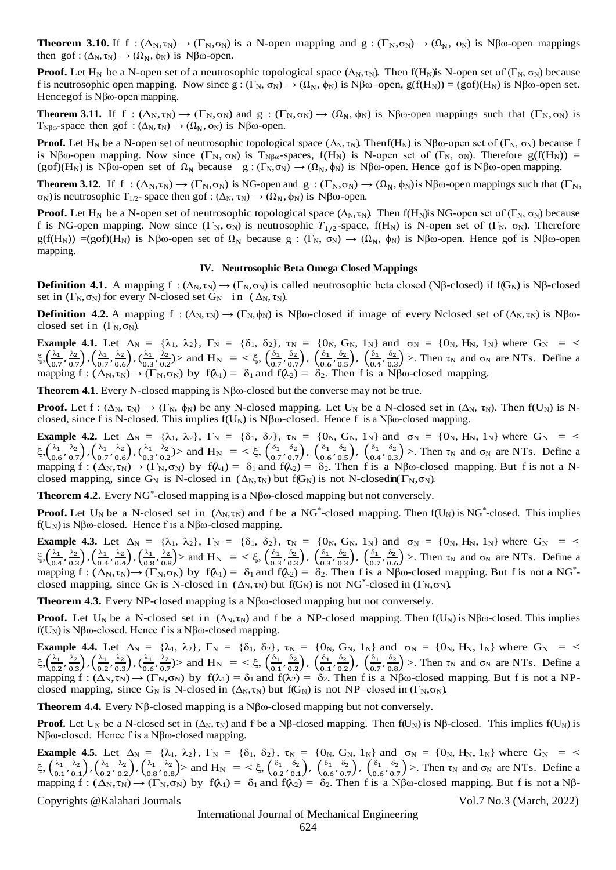**Theorem 3.10.** If f :  $(\Delta_N, \tau_N) \to (\Gamma_N, \sigma_N)$  is a N-open mapping and g :  $(\Gamma_N, \sigma_N) \to (\Omega_N, \phi_N)$  is Nβω-open mappings then gof :  $(\Delta_N, \tau_N) \rightarrow (\Omega_N, \phi_N)$  is Nβω-open.

**Proof.** Let H<sub>N</sub> be a N-open set of a neutrosophic topological space  $(\Delta_N, \tau_N)$ . Then  $f(H_N)$ is N-open set of  $(\Gamma_N, \sigma_N)$  because f is neutrosophic open mapping. Now since  $g: (\Gamma_N, \sigma_N) \to (\Omega_N, \phi_N)$  is Nβω–open,  $g(f(H_N)) = (g \circ f)(H_N)$  is Nβω-open set. Hencegof is Nβω-open mapping.

**Theorem 3.11.** If f :  $(\Delta_N, \tau_N) \to (\Gamma_N, \sigma_N)$  and g :  $(\Gamma_N, \sigma_N) \to (\Omega_N, \phi_N)$  is Nβω-open mappings such that  $(\Gamma_N, \sigma_N)$  is T<sub>Nβω</sub>-space then gof :  $(\Delta_N, \tau_N) \rightarrow (\Omega_N, \phi_N)$  is Nβω-open.

**Proof.** Let H<sub>N</sub> be a N-open set of neutrosophic topological space ( $\Delta_N$ , τ<sub>N</sub>). Thenf(H<sub>N</sub>) is Nβω-open set of (Γ<sub>N</sub>, σ<sub>N</sub>) because f is Nβω-open mapping. Now since  $(\Gamma_N, \sigma_N)$  is T<sub>Nβω</sub>-spaces,  $f(H_N)$  is N-open set of  $(\Gamma_N, \sigma_N)$ . Therefore  $g(f(H_N))$  = (gof)(H<sub>N</sub>) is Nβω-open set of  $\Omega_N$  because g: (Γ<sub>N</sub>, σ<sub>N</sub>)  $\rightarrow$  ( $\Omega_N$ , φ<sub>N</sub>) is Nβω-open. Hence gof is Nβω-open mapping.

**Theorem 3.12.** If f :  $(\Delta_N, \tau_N) \to (\Gamma_N, \sigma_N)$  is NG-open and g :  $(\Gamma_N, \sigma_N) \to (\Omega_N, \phi_N)$  is Nβω-open mappings such that  $(\Gamma_N, \sigma_N)$  $\sigma_N$ ) is neutrosophic T<sub>1/2</sub>- space then gof : (Δ<sub>N</sub>, τ<sub>N</sub>)  $\rightarrow$  ( $\Omega_N$ ,  $\phi_N$ ) is Nβω-open.

**Proof.** Let H<sub>N</sub> be a N-open set of neutrosophic topological space ( $\Delta_N$ ,  $\tau_N$ ). Then f(H<sub>N</sub>)is NG-open set of (Γ<sub>N</sub>, σ<sub>N</sub>) because f is NG-open mapping. Now since  $(\Gamma_N, \sigma_N)$  is neutrosophic  $T_{1/2}$ -space, f(H<sub>N</sub>) is N-open set of (Γ<sub>N</sub>, σ<sub>N</sub>). Therefore g(f(H<sub>N</sub>)) =(gof)(H<sub>N</sub>) is Nβω-open set of  $\Omega_N$  because g : (Γ<sub>N</sub>, σ<sub>N</sub>)  $\rightarrow$  ( $\Omega_N$ , φ<sub>N</sub>) is Nβω-open. Hence gof is Nβω-open mapping.

#### **IV. Neutrosophic Beta Omega Closed Mappings**

**Definition 4.1.** A mapping f :  $(\Delta_N, \tau_N) \to (\Gamma_N, \sigma_N)$  is called neutrosophic beta closed (Nβ-closed) if f(G<sub>N</sub>) is Nβ-closed set in  $(\Gamma_N, \sigma_N)$  for every N-closed set  $G_N$  in  $(\Delta_N, \tau_N)$ .

**Definition 4.2.** A mapping f :  $(\Delta_N, \tau_N) \to (\Gamma_N, \phi_N)$  is Nβω-closed if image of every Nclosed set of  $(\Delta_N, \tau_N)$  is Nβωclosed set in  $(\Gamma_N, \sigma_N)$ .

**Example 4.1.** Let  $\Delta_N = {\lambda_1, \lambda_2}$ ,  $\Gamma_N = {\delta_1, \delta_2}$ ,  $\tau_N = {\{0_N, G_N, 1_N\}}$  and  $\sigma_N = {\{0_N, H_N, 1_N\}}$  where  $G_N = \langle$ ξ, $\left(\frac{\lambda_1}{\alpha}\right)$  $\frac{\lambda_1}{0.7}, \frac{\lambda_2}{0.7}$  $\left(\frac{\lambda_2}{0.7}\right)$  ,  $\left(\frac{\lambda_1}{0.5}\right)$  $\frac{\lambda_1}{0.7}, \frac{\lambda_2}{0.6}$  $\left(\frac{\lambda_2}{0.6}\right)$  ,  $\left(\frac{\lambda_1}{0.3}\right)$  $\frac{\lambda_1}{0.3}, \frac{\lambda_2}{0.2}$  $\frac{\lambda_2}{0.2}$ ) and H<sub>N</sub> = <  $\xi$ ,  $\left(\frac{\delta_1}{0.2}\right)$  $\frac{\delta_1}{0.7}, \frac{\delta_2}{0.7}$  $\left(\frac{\delta_2}{0.7}\right)$ ,  $\left(\frac{\delta_1}{0.6}\right)$  $\frac{\delta_1}{0.6}, \frac{\delta_2}{0.5}$  $\left(\frac{\delta_2}{0.5}\right)$ ,  $\left(\frac{\delta_1}{0.4}\right)$  $\frac{\delta_1}{0.4}, \frac{\delta_2}{0.3}$  $\frac{\delta_2}{\delta_0.3}$  >. Then  $\tau_N$  and  $\sigma_N$  are NTs. Define a mapping  $f : (\Delta_N, \tau_N) \to (\Gamma_N, \sigma_N)$  by  $f(\lambda_1) = \delta_1$  and  $f(\lambda_2) = \delta_2$ . Then f is a Nβω-closed mapping.

**Theorem 4.1**. Every N-closed mapping is Nβω-closed but the converse may not be true.

**Proof.** Let  $f : (\Delta_N, \tau_N) \to (\Gamma_N, \phi_N)$  be any N-closed mapping. Let  $U_N$  be a N-closed set in  $(\Delta_N, \tau_N)$ . Then  $f(U_N)$  is Nclosed, since f is N-closed. This implies  $f(U_N)$  is  $N\beta\omega$ -closed. Hence f is a  $N\beta\omega$ -closed mapping.

**Example 4.2.** Let  $\Delta_N = {\lambda_1, \lambda_2}$ ,  $\Gamma_N = {\delta_1, \delta_2}$ ,  $\tau_N = {\{0_N, G_N, 1_N\}}$  and  $\sigma_N = {\{0_N, H_N, 1_N\}}$  where  $G_N = \langle$ ξ, $\left(\frac{\lambda_1}{\alpha_2}\right)$  $\frac{\lambda_1}{0.6}, \frac{\lambda_2}{0.5}$  $\left(\frac{\lambda_2}{0.7}\right)$  ,  $\left(\frac{\lambda_1}{0.7}\right)$  $\frac{\lambda_1}{0.7}, \frac{\lambda_2}{0.6}$  $\left(\frac{\lambda_2}{0.6}\right)$  ,  $\left(\frac{\lambda_1}{0.3}\right)$  $\frac{\lambda_1}{0.3}, \frac{\lambda_2}{0.2}$  $\frac{\lambda_2}{0.2}$ ) and H<sub>N</sub> = <  $\xi$ ,  $\left(\frac{\delta_1}{0.5}\right)$  $\frac{\delta_1}{0.7}, \frac{\delta_2}{0.7}$  $\left(\frac{\delta_2}{0.7}\right)$ ,  $\left(\frac{\delta_1}{0.6}\right)$  $\frac{\delta_1}{0.6}, \frac{\delta_2}{0.5}$  $\left(\frac{\delta_2}{0.5}\right)$ ,  $\left(\frac{\delta_1}{0.4}\right)$  $\frac{\delta_1}{0.4}, \frac{\delta_2}{0.3}$  $\frac{\delta_2}{\delta_0.3}$  >. Then  $\tau_N$  and  $\sigma_N$  are NTs. Define a mapping  $f : (\Delta_N, \tau_N) \to (\Gamma_N, \sigma_N)$  by  $f(\lambda_1) = \delta_1$  and  $f(\lambda_2) = \delta_2$ . Then f is a N $\beta$ ω-closed mapping. But f is not a Nclosed mapping, since G<sub>N</sub> is N-closed in  $(\Delta_N, \tau_N)$  but f(G<sub>N</sub>) is not N-closedin( $\Gamma_N, \sigma_N$ ).

**Theorem 4.2.** Every NG\* -closed mapping is a Nβω-closed mapping but not conversely.

**Proof.** Let U<sub>N</sub> be a N-closed set in  $(\Delta_N, \tau_N)$  and f be a NG<sup>\*</sup>-closed mapping. Then  $f(U_N)$  is NG<sup>\*</sup>-closed. This implies f(U<sub>N</sub>) is Nβω-closed. Hence f is a Nβω-closed mapping.

**Example 4.3.** Let  $\Delta_N = {\lambda_1, \lambda_2}, \Gamma_N = {\delta_1, \delta_2}, \tau_N = {\{0_N, G_N, 1_N\}}$  and  $\sigma_N = {\{0_N, H_N, 1_N\}}$  where  $G_N = \langle 0_N, H_N, 1_N, 1_N, \dots \rangle$ ξ, $\left(\frac{\lambda_1}{\alpha}\right)$  $\frac{\lambda_1}{0.4}, \frac{\lambda_2}{0.3}$  $\left(\frac{\lambda_2}{0.3}\right)$  ,  $\left(\frac{\lambda_1}{0.4}\right)$  $\frac{\lambda_1}{0.4}, \frac{\lambda_2}{0.4}$  $\left(\frac{\lambda_2}{0.4}\right)$  ,  $\left(\frac{\lambda_1}{0.8}\right)$  $\frac{\lambda_1}{0.8}, \frac{\lambda_2}{0.8}$  $\left(\frac{\lambda_2}{0.8}\right)$  and  $H_N = \langle \xi, \left(\frac{\delta_1}{0.3}\right)$  $\frac{\delta_1}{0.3}, \frac{\delta_2}{0.3}$  $\left(\frac{\delta_2}{0.3}\right)$ ,  $\left(\frac{\delta_1}{0.3}\right)$  $\frac{\delta_1}{0.3}, \frac{\delta_2}{0.3}$  $\left(\frac{\delta_2}{0.3}\right)$ ,  $\left(\frac{\delta_1}{0.5}\right)$  $\frac{\delta_1}{0.7}, \frac{\delta_2}{0.6}$  $\frac{\delta_2}{\delta_0.6}$  >. Then  $\tau_N$  and  $\sigma_N$  are NTs. Define a mapping  $f : (\Delta_N, \tau_N) \to (\Gamma_N, \sigma_N)$  by  $f(\lambda_1) = \delta_1$  and  $f(\lambda_2) = \delta_2$ . Then f is a N $\beta$ ω-closed mapping. But f is not a NG<sup>\*</sup>closed mapping, since  $G_N$  is N-closed in  $(\Delta_N, \tau_N)$  but f( $G_N$ ) is not NG<sup>\*</sup>-closed in ( $\Gamma_N, \sigma_N$ ).

**Theorem 4.3.** Every NP-closed mapping is a Nβω-closed mapping but not conversely.

**Proof.** Let U<sub>N</sub> be a N-closed set in  $(\Delta_N, \tau_N)$  and f be a NP-closed mapping. Then  $f(U_N)$  is Nβω-closed. This implies  $f(U_N)$  is Nβω-closed. Hence f is a Nβω-closed mapping.

**Example 4.4.** Let  $\Delta_N = {\lambda_1, \lambda_2}$ ,  $\Gamma_N = {\delta_1, \delta_2}$ ,  $\tau_N = {\{0_N, G_N, 1_N\}}$  and  $\sigma_N = {\{0_N, H_N, 1_N\}}$  where  $G_N = \langle$ ξ, $\left(\frac{\lambda_1}{\alpha}\right)$  $\frac{\lambda_1}{0.2}, \frac{\lambda_2}{0.3}$  $\left(\frac{\lambda_2}{0.3}\right)$  ,  $\left(\frac{\lambda_1}{0.2}\right)$  $\frac{\lambda_1}{0.2}, \frac{\lambda_2}{0.3}$  $\left(\frac{\lambda_2}{0.3}\right)$  ,  $\left(\frac{\lambda_1}{0.6}\right)$  $\frac{\lambda_1}{0.6}, \frac{\lambda_2}{0.5}$  $\frac{\lambda_2}{0.7}$ ) and H<sub>N</sub> = <  $\xi$ ,  $\left(\frac{\delta_1}{0.1}\right)$  $\frac{\delta_1}{0.1}, \frac{\delta_2}{0.2}$  $\left(\frac{\delta_2}{0.2}\right)$ ,  $\left(\frac{\delta_1}{0.1}\right)$  $\frac{\delta_1}{0.1}, \frac{\delta_2}{0.2}$  $\left(\frac{\delta_2}{0.2}\right)$ ,  $\left(\frac{\delta_1}{0.5}\right)$  $\frac{\delta_1}{0.7}, \frac{\delta_2}{0.8}$  $\frac{\delta_2}{\delta_0.8}$  >. Then  $\tau_N$  and  $\sigma_N$  are NTs. Define a mapping  $f : (\Delta_N, \tau_N) \to (\Gamma_N, \sigma_N)$  by  $f(\lambda_1) = \delta_1$  and  $f(\lambda_2) = \delta_2$ . Then f is a Nβω-closed mapping. But f is not a NPclosed mapping, since G<sub>N</sub> is N-closed in  $(\Delta_N, \tau_N)$  but f(G<sub>N</sub>) is not NP–closed in (Γ<sub>N</sub>,σ<sub>N</sub>).

**Theorem 4.4.** Every Nβ-closed mapping is a Nβω-closed mapping but not conversely.

**Proof.** Let U<sub>N</sub> be a N-closed set in  $(Δ_N, τ_N)$  and f be a Nβ-closed mapping. Then  $f(U_N)$  is Nβ-closed. This implies  $f(U_N)$  is Nβω-closed. Hence f is a Nβω-closed mapping.

**Example 4.5.** Let  $\Delta_N = {\lambda_1, \lambda_2}$ ,  $\Gamma_N = {\delta_1, \delta_2}$ ,  $\tau_N = {\{0_N, G_N, 1_N\}}$  and  $\sigma_N = {\{0_N, H_N, 1_N\}}$  where  $G_N = \langle$ ξ,  $\left(\frac{\lambda_1}{\alpha_2}\right)$  $\frac{\lambda_1}{0.1}, \frac{\lambda_2}{0.1}$  $\left(\frac{\lambda_2}{0.1}\right)$  ,  $\left(\frac{\lambda_1}{0.2}\right)$  $\frac{\lambda_1}{0.2}, \frac{\lambda_2}{0.2}$  $\left(\frac{\lambda_2}{0.2}\right)$  ,  $\left(\frac{\lambda_1}{0.8}\right)$  $\frac{\lambda_1}{0.8}, \frac{\lambda_2}{0.8}$  $\frac{\lambda_2}{0.8}$  > and H<sub>N</sub> = <  $\xi$ ,  $\left(\frac{\delta_1}{0.2}\right)$  $\frac{\delta_1}{0.2}, \frac{\delta_2}{0.1}$  $\left(\frac{\delta_2}{0.1}\right)$ ,  $\left(\frac{\delta_1}{0.6}\right)$  $\frac{\delta_1}{0.6}, \frac{\delta_2}{0.5}$  $\left(\frac{\delta_2}{0.7}\right)$ ,  $\left(\frac{\delta_1}{0.6}\right)$  $\frac{\delta_1}{0.6}, \frac{\delta_2}{0.5}$  $\frac{\delta_2}{\delta_0 \sigma_7}$  >. Then  $\tau_N$  and  $\sigma_N$  are NTs. Define a mapping  $f : (\Delta_N, \tau_N) \to (\Gamma_N, \sigma_N)$  by  $f(\lambda_1) = \delta_1$  and  $f(\lambda_2) = \delta_2$ . Then f is a Nβω-closed mapping. But f is not a Nβ-

Copyrights @Kalahari Journals Vol.7 No.3 (March, 2022)

International Journal of Mechanical Engineering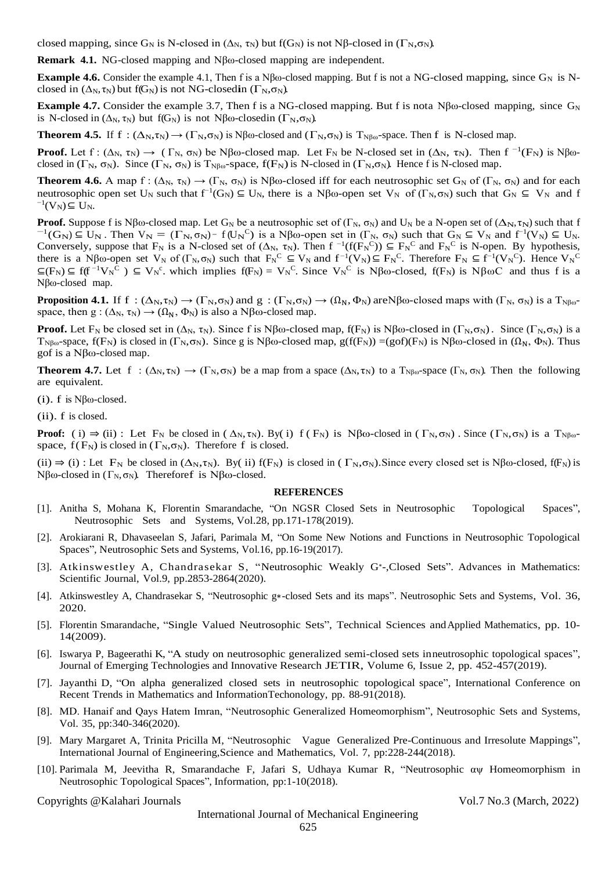closed mapping, since  $G_N$  is N-closed in  $(\Delta_N, \tau_N)$  but  $f(G_N)$  is not Nβ-closed in  $(\Gamma_N, \sigma_N)$ .

**Remark 4.1.** NG-closed mapping and Nβω-closed mapping are independent.

**Example 4.6.** Consider the example 4.1, Then f is a N $\beta\omega$ -closed mapping. But f is not a NG-closed mapping, since  $G_N$  is Nclosed in  $(\Delta_N, \tau_N)$  but f(G<sub>N</sub>) is not NG-closedin ( $\Gamma_N, \sigma_N$ ).

**Example 4.7.** Consider the example 3.7, Then f is a NG-closed mapping. But f is nota Nβω-closed mapping, since  $G_N$ is N-closed in  $(\Delta_N, \tau_N)$  but f(G<sub>N</sub>) is not Nβω-closedin ( $\Gamma_N, \sigma_N$ ).

**Theorem 4.5.** If  $f : (\Delta_N, \tau_N) \to (\Gamma_N, \sigma_N)$  is Nβω-closed and  $(\Gamma_N, \sigma_N)$  is T<sub>Nβω</sub>-space. Then f is N-closed map.

**Proof.** Let  $f: (\Delta_N, \tau_N) \to (\Gamma_N, \sigma_N)$  be Nβω-closed map. Let  $F_N$  be N-closed set in  $(\Delta_N, \tau_N)$ . Then  $f^{-1}(F_N)$  is Nβωclosed in  $(\Gamma_N, \sigma_N)$ . Since  $(\Gamma_N, \sigma_N)$  is  $T_{N\beta\omega}$ -space,  $f(F_N)$  is N-closed in  $(\Gamma_N, \sigma_N)$ . Hence f is N-closed map.

**Theorem 4.6.** A map f :  $(\Delta_N, \tau_N) \to (\Gamma_N, \sigma_N)$  is Nβω-closed iff for each neutrosophic set  $G_N$  of  $(\Gamma_N, \sigma_N)$  and for each neutrosophic open set U<sub>N</sub> such that  $f^{-1}(G_N) \subseteq U_N$ , there is a Nβω-open set V<sub>N</sub> of (Γ<sub>N</sub>, σ<sub>N</sub>) such that  $G_N \subseteq V_N$  and f  $^{-1}(V_N) \subseteq U_N$ .

**Proof.** Suppose f is Nβω-closed map. Let G<sub>N</sub> be a neutrosophic set of (Γ<sub>N</sub>, σ<sub>N</sub>) and U<sub>N</sub> be a N-open set of (Δ<sub>N</sub>, τ<sub>N</sub>) such that f  $^{-1}(G_N) \subseteq U_N$ . Then  $V_N = (\Gamma_N, \sigma_N)^{-1} f(U_N^C)$  is a Nβω-open set in  $(\Gamma_N, \sigma_N)$  such that  $G_N \subseteq V_N$  and  $f^{-1}(V_N) \subseteq U_N$ . Conversely, suppose that  $F_N$  is a N-closed set of  $(\Delta_N, \tau_N)$ . Then  $f^{-1}(f(F_N^C)) \subseteq F_N^C$  and  $F_N^C$  is N-open. By hypothesis, there is a Nβω-open set  $V_N$  of  $(\Gamma_N, \sigma_N)$  such that  $F_N^C \subseteq V_N$  and  $f^{-1}(V_N) \subseteq F_N^C$ . Therefore  $F_N \subseteq f^{-1}(V_N^C)$ . Hence  $V_N^C$  $\subseteq$ (F<sub>N</sub>)  $\subseteq$  f(f<sup>-1</sup>V<sub>N</sub><sup>C</sup>)  $\subseteq$  V<sub>N</sub><sup>c</sup>. which implies f(F<sub>N</sub>) = V<sub>N</sub><sup>C</sup>. Since V<sub>N</sub><sup>C</sup> is Nβω-closed, f(F<sub>N</sub>) is NβωC and thus f is a Nβω-closed map.

**Proposition 4.1.** If f :  $(\Delta_N, \tau_N) \to (\Gamma_N, \sigma_N)$  and  $g$  :  $(\Gamma_N, \sigma_N) \to (\Omega_N, \Phi_N)$  are Nβω-closed maps with  $(\Gamma_N, \sigma_N)$  is a  $T_{N\beta\omega}$ space, then  $g: (\Delta_N, \tau_N) \to (\Omega_N, \Phi_N)$  is also a N $\beta$ ω-closed map.

**Proof.** Let  $F_N$  be closed set in  $(\Delta_N, \tau_N)$ . Since f is Nβω-closed map,  $f(F_N)$  is Nβω-closed in  $(\Gamma_N, \sigma_N)$ . Since  $(\Gamma_N, \sigma_N)$  is a  $T_{N\beta\omega}$ -space,  $f(F_N)$  is closed in  $(\Gamma_N, \sigma_N)$ . Since g is Nβω-closed map,  $g(f(F_N)) = (gof)(F_N)$  is Nβω-closed in  $(\Omega_N, \Phi_N)$ . Thus gof is a Nβω-closed map.

**Theorem 4.7.** Let f :  $(\Delta_N, \tau_N) \to (\Gamma_N, \sigma_N)$  be a map from a space  $(\Delta_N, \tau_N)$  to a  $T_{N\beta\omega}$ -space  $(\Gamma_N, \sigma_N)$ . Then the following are equivalent.

(i). f is  $N\beta\omega$ -closed.

(ii). f is closed.

**Proof:** ( i)  $\Rightarrow$  (ii) : Let F<sub>N</sub> be closed in ( $\Delta_N$ ,τ<sub>N</sub>). By( i) f (F<sub>N</sub>) is Nβω-closed in ( $\Gamma_N$ ,  $\sigma_N$ ). Since ( $\Gamma_N$ ,  $\sigma_N$ ) is a  $T_{N\beta\omega}$ space,  $f(F_N)$  is closed in  $(\Gamma_N, \sigma_N)$ . Therefore f is closed.

(ii)  $\Rightarrow$  (i) : Let F<sub>N</sub> be closed in ( $\Delta_N$ ,τ<sub>N</sub>). By( ii) f(F<sub>N</sub>) is closed in ( $\Gamma_N$ ,  $\sigma_N$ ). Since every closed set is Nβω-closed, f(F<sub>N</sub>) is Nβω-closed in  $(\Gamma_N, \sigma_N)$ . Thereforef is Nβω-closed.

#### **REFERENCES**

- [1]. Anitha S, Mohana K, Florentin Smarandache, "On NGSR Closed Sets in Neutrosophic Topological Spaces", Neutrosophic Sets and Systems, Vol.28, pp.171-178(2019).
- [2]. Arokiarani R, Dhavaseelan S, Jafari, Parimala M, "On Some New Notions and Functions in Neutrosophic Topological Spaces", Neutrosophic Sets and Systems, Vol.16, pp.16-19(2017).
- [3]. Atkinswestley A, Chandrasekar S, "Neutrosophic Weakly G<sup>\*</sup>-,Closed Sets". Advances in Mathematics: Scientific Journal, Vol.9, pp.2853-2864(2020).
- [4]. Atkinswestley A, Chandrasekar S, "Neutrosophic g∗-closed Sets and its maps". Neutrosophic Sets and Systems, Vol. 36, 2020.
- [5]. Florentin Smarandache, "Single Valued Neutrosophic Sets", Technical Sciences andApplied Mathematics, pp. 10- 14(2009).
- [6]. Iswarya P, Bageerathi K, "A study on neutrosophic generalized semi-closed sets inneutrosophic topological spaces", Journal of Emerging Technologies and Innovative Research JETIR, Volume 6, Issue 2, pp. 452-457(2019).
- [7]. Jayanthi D, "On alpha generalized closed sets in neutrosophic topological space", International Conference on Recent Trends in Mathematics and InformationTechonology, pp. 88-91(2018).
- [8]. MD. Hanaif and Qays Hatem Imran, "Neutrosophic Generalized Homeomorphism", Neutrosophic Sets and Systems, Vol. 35, pp:340-346(2020).
- [9]. Mary Margaret A, Trinita Pricilla M, "Neutrosophic Vague Generalized Pre-Continuous and Irresolute Mappings", International Journal of Engineering,Science and Mathematics, Vol. 7, pp:228-244(2018).
- [10]. Parimala M, Jeevitha R, Smarandache F, Jafari S, Udhaya Kumar R, "Neutrosophic αψ Homeomorphism in Neutrosophic Topological Spaces", Information, pp:1-10(2018).

Copyrights @Kalahari Journals Vol.7 No.3 (March, 2022)